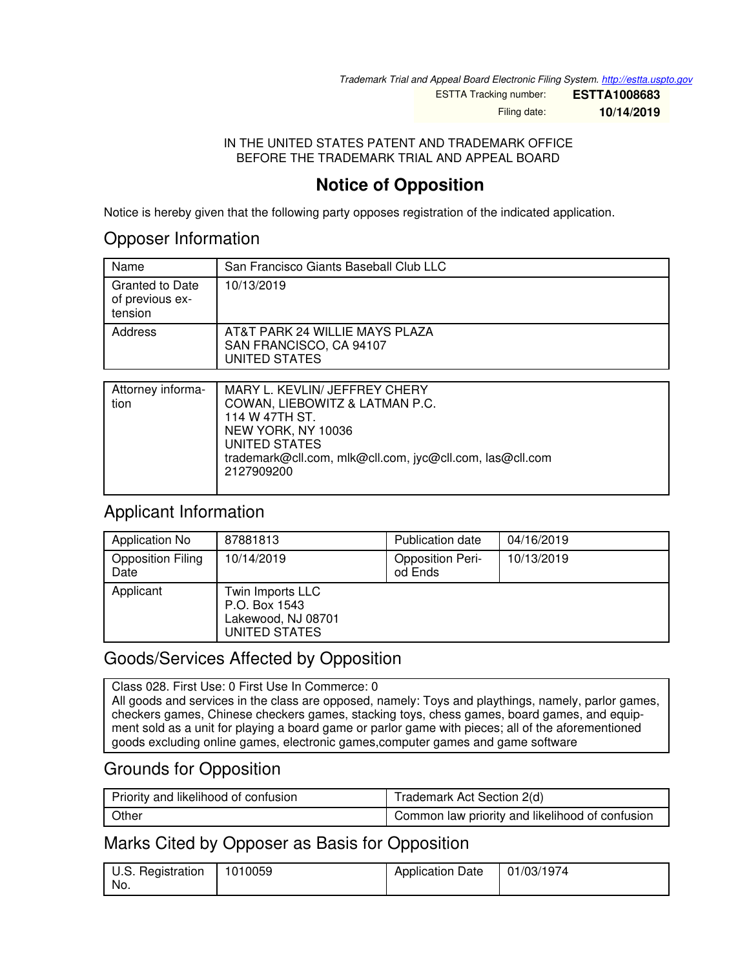*Trademark Trial and Appeal Board Electronic Filing System. <http://estta.uspto.gov>*

ESTTA Tracking number: **ESTTA1008683**

Filing date: **10/14/2019**

#### IN THE UNITED STATES PATENT AND TRADEMARK OFFICE BEFORE THE TRADEMARK TRIAL AND APPEAL BOARD

# **Notice of Opposition**

Notice is hereby given that the following party opposes registration of the indicated application.

### Opposer Information

| Name                                          | San Francisco Giants Baseball Club LLC                                     |
|-----------------------------------------------|----------------------------------------------------------------------------|
| Granted to Date<br>of previous ex-<br>tension | 10/13/2019                                                                 |
| Address                                       | AT&T PARK 24 WILLIE MAYS PLAZA<br>SAN FRANCISCO, CA 94107<br>UNITED STATES |

| Attorney informa-<br>tion | MARY L. KEVLIN/ JEFFREY CHERY<br>COWAN, LIEBOWITZ & LATMAN P.C.<br>114 W 47TH ST.<br>NEW YORK, NY 10036<br>UNITED STATES<br>trademark@cll.com, mlk@cll.com, jyc@cll.com, las@cll.com<br>2127909200 |
|---------------------------|----------------------------------------------------------------------------------------------------------------------------------------------------------------------------------------------------|
|                           |                                                                                                                                                                                                    |

# Applicant Information

| Application No                   | 87881813                                                                 | Publication date                   | 04/16/2019 |
|----------------------------------|--------------------------------------------------------------------------|------------------------------------|------------|
| <b>Opposition Filing</b><br>Date | 10/14/2019                                                               | <b>Opposition Peri-</b><br>od Ends | 10/13/2019 |
| Applicant                        | Twin Imports LLC<br>P.O. Box 1543<br>Lakewood, NJ 08701<br>UNITED STATES |                                    |            |

# Goods/Services Affected by Opposition

Class 028. First Use: 0 First Use In Commerce: 0 All goods and services in the class are opposed, namely: Toys and playthings, namely, parlor games, checkers games, Chinese checkers games, stacking toys, chess games, board games, and equipment sold as a unit for playing a board game or parlor game with pieces; all of the aforementioned goods excluding online games, electronic games,computer games and game software

### Grounds for Opposition

| Priority and likelihood of confusion | Trademark Act Section 2(d)                      |  |
|--------------------------------------|-------------------------------------------------|--|
| Other                                | Common law priority and likelihood of confusion |  |

# Marks Cited by Opposer as Basis for Opposition

| U.S. Registration | 1010059 | <b>Application Date</b> | 01/03/1974 |
|-------------------|---------|-------------------------|------------|
| No.               |         |                         |            |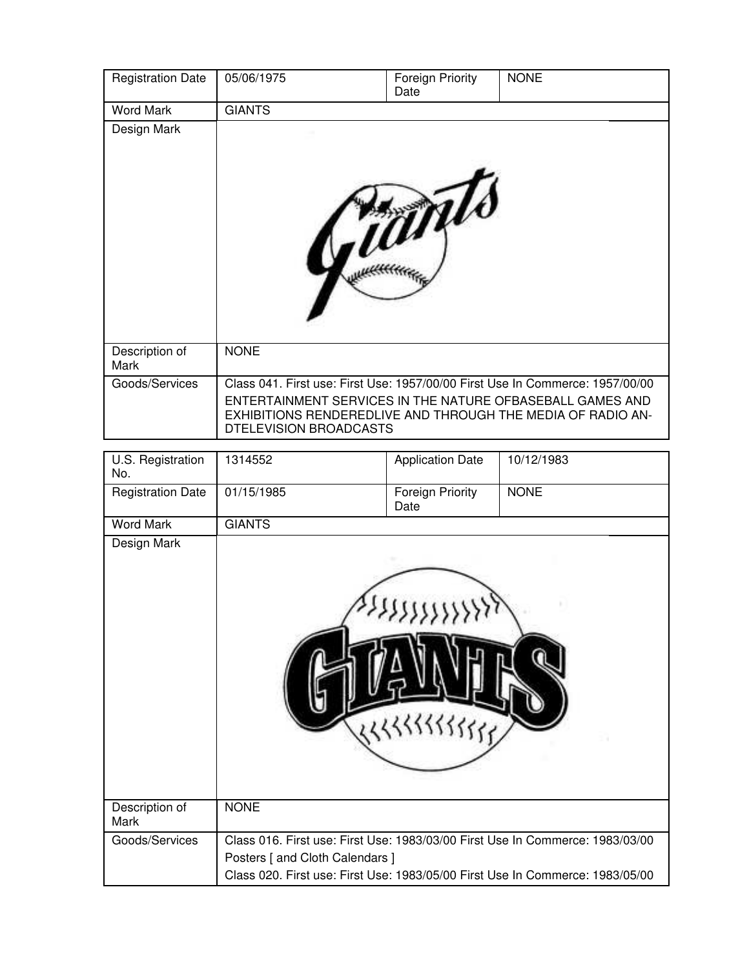| <b>Registration Date</b> | 05/06/1975                                                                                                                                                                                                                          | <b>Foreign Priority</b><br>Date | <b>NONE</b> |
|--------------------------|-------------------------------------------------------------------------------------------------------------------------------------------------------------------------------------------------------------------------------------|---------------------------------|-------------|
| <b>Word Mark</b>         | <b>GIANTS</b>                                                                                                                                                                                                                       |                                 |             |
| Design Mark              |                                                                                                                                                                                                                                     |                                 |             |
| Description of<br>Mark   | <b>NONE</b>                                                                                                                                                                                                                         |                                 |             |
| Goods/Services           | Class 041. First use: First Use: 1957/00/00 First Use In Commerce: 1957/00/00<br>ENTERTAINMENT SERVICES IN THE NATURE OFBASEBALL GAMES AND<br>EXHIBITIONS RENDEREDLIVE AND THROUGH THE MEDIA OF RADIO AN-<br>DTELEVISION BROADCASTS |                                 |             |

| U.S. Registration<br>No. | 1314552                         | <b>Application Date</b>         | 10/12/1983                                                                                                                                                     |
|--------------------------|---------------------------------|---------------------------------|----------------------------------------------------------------------------------------------------------------------------------------------------------------|
| <b>Registration Date</b> | 01/15/1985                      | <b>Foreign Priority</b><br>Date | <b>NONE</b>                                                                                                                                                    |
| <b>Word Mark</b>         | <b>GIANTS</b>                   |                                 |                                                                                                                                                                |
| Design Mark              |                                 |                                 |                                                                                                                                                                |
| Description of<br>Mark   | <b>NONE</b>                     |                                 |                                                                                                                                                                |
| Goods/Services           | Posters [ and Cloth Calendars ] |                                 | Class 016. First use: First Use: 1983/03/00 First Use In Commerce: 1983/03/00<br>Class 020. First use: First Use: 1983/05/00 First Use In Commerce: 1983/05/00 |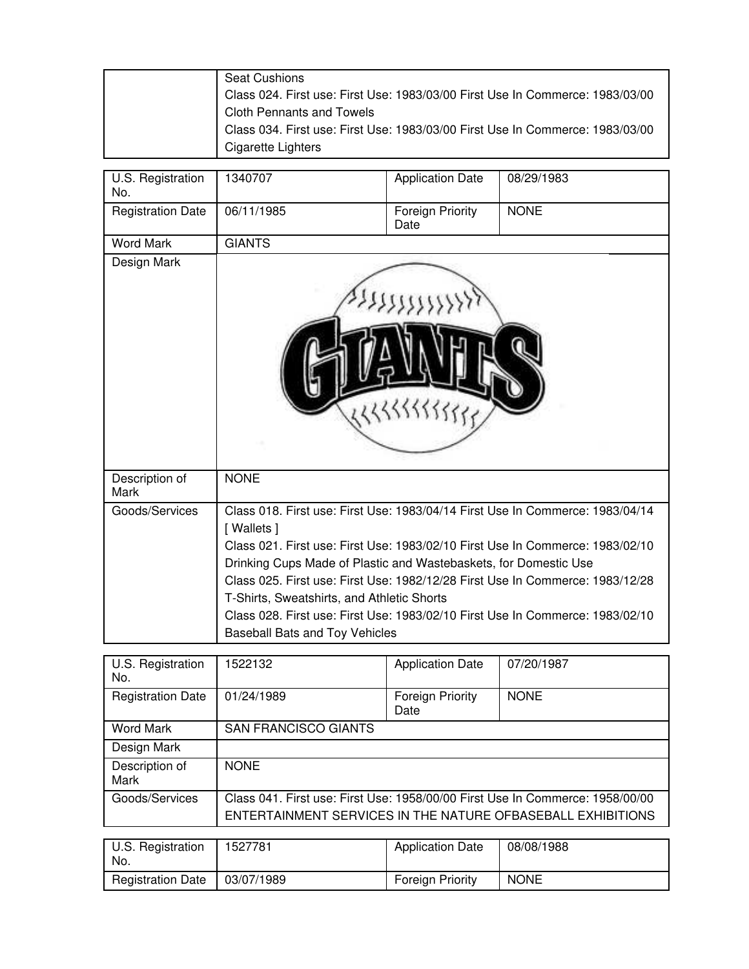| <b>Seat Cushions</b>                                                          |
|-------------------------------------------------------------------------------|
| Class 024. First use: First Use: 1983/03/00 First Use In Commerce: 1983/03/00 |
| <b>Cloth Pennants and Towels</b>                                              |
| Class 034. First use: First Use: 1983/03/00 First Use In Commerce: 1983/03/00 |
| Cigarette Lighters                                                            |

| U.S. Registration<br>No. | 1340707                                                                                                                                                                | <b>Application Date</b>  | 08/29/1983                                                                                                                                                                                                                                                                                                                       |
|--------------------------|------------------------------------------------------------------------------------------------------------------------------------------------------------------------|--------------------------|----------------------------------------------------------------------------------------------------------------------------------------------------------------------------------------------------------------------------------------------------------------------------------------------------------------------------------|
| <b>Registration Date</b> | 06/11/1985                                                                                                                                                             | Foreign Priority<br>Date | <b>NONE</b>                                                                                                                                                                                                                                                                                                                      |
| <b>Word Mark</b>         | <b>GIANTS</b>                                                                                                                                                          |                          |                                                                                                                                                                                                                                                                                                                                  |
| Design Mark              |                                                                                                                                                                        |                          |                                                                                                                                                                                                                                                                                                                                  |
| Description of<br>Mark   | <b>NONE</b>                                                                                                                                                            |                          |                                                                                                                                                                                                                                                                                                                                  |
| Goods/Services           | [ Wallets ]<br>Drinking Cups Made of Plastic and Wastebaskets, for Domestic Use<br>T-Shirts, Sweatshirts, and Athletic Shorts<br><b>Baseball Bats and Toy Vehicles</b> |                          | Class 018. First use: First Use: 1983/04/14 First Use In Commerce: 1983/04/14<br>Class 021, First use: First Use: 1983/02/10 First Use In Commerce: 1983/02/10<br>Class 025. First use: First Use: 1982/12/28 First Use In Commerce: 1983/12/28<br>Class 028. First use: First Use: 1983/02/10 First Use In Commerce: 1983/02/10 |

| U.S. Registration<br>No.      | 1522132                                                                                                                                      | <b>Application Date</b>         | 07/20/1987  |  |
|-------------------------------|----------------------------------------------------------------------------------------------------------------------------------------------|---------------------------------|-------------|--|
| <b>Registration Date</b>      | 01/24/1989                                                                                                                                   | <b>Foreign Priority</b><br>Date | <b>NONE</b> |  |
| <b>Word Mark</b>              | <b>SAN FRANCISCO GIANTS</b>                                                                                                                  |                                 |             |  |
| Design Mark                   |                                                                                                                                              |                                 |             |  |
| Description of<br><b>Mark</b> | <b>NONE</b>                                                                                                                                  |                                 |             |  |
| Goods/Services                | Class 041. First use: First Use: 1958/00/00 First Use In Commerce: 1958/00/00<br>ENTERTAINMENT SERVICES IN THE NATURE OFBASEBALL EXHIBITIONS |                                 |             |  |
|                               |                                                                                                                                              |                                 |             |  |
| U.S. Registration<br>No.      | 1527781                                                                                                                                      | <b>Application Date</b>         | 08/08/1988  |  |
| <b>Registration Date</b>      | 03/07/1989                                                                                                                                   | <b>Foreign Priority</b>         | <b>NONE</b> |  |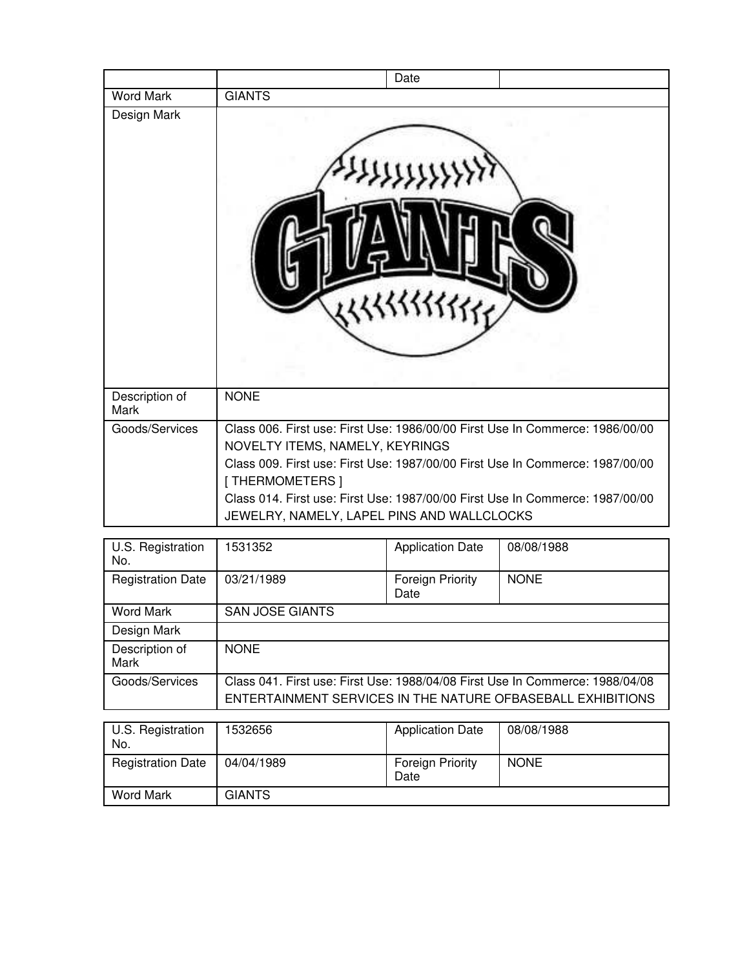|                                                                                                                                                                                                                                                                                                                                                    | Date                    |            |
|----------------------------------------------------------------------------------------------------------------------------------------------------------------------------------------------------------------------------------------------------------------------------------------------------------------------------------------------------|-------------------------|------------|
| <b>GIANTS</b>                                                                                                                                                                                                                                                                                                                                      |                         |            |
|                                                                                                                                                                                                                                                                                                                                                    |                         |            |
|                                                                                                                                                                                                                                                                                                                                                    |                         |            |
| Class 006. First use: First Use: 1986/00/00 First Use In Commerce: 1986/00/00<br>NOVELTY ITEMS, NAMELY, KEYRINGS<br>Class 009. First use: First Use: 1987/00/00 First Use In Commerce: 1987/00/00<br>[THERMOMETERS]<br>Class 014. First use: First Use: 1987/00/00 First Use In Commerce: 1987/00/00<br>JEWELRY, NAMELY, LAPEL PINS AND WALLCLOCKS |                         |            |
| 1531352                                                                                                                                                                                                                                                                                                                                            | <b>Application Date</b> | 08/08/1988 |
|                                                                                                                                                                                                                                                                                                                                                    | <b>NONE</b>             |            |

| No.                      |                                                                                                                                              | $1.188$ $2.181$ $2.181$  |             |
|--------------------------|----------------------------------------------------------------------------------------------------------------------------------------------|--------------------------|-------------|
| <b>Registration Date</b> | 03/21/1989                                                                                                                                   | Foreign Priority<br>Date | <b>NONE</b> |
| <b>Word Mark</b>         | <b>SAN JOSE GIANTS</b>                                                                                                                       |                          |             |
| Design Mark              |                                                                                                                                              |                          |             |
| Description of<br>Mark   | <b>NONE</b>                                                                                                                                  |                          |             |
| Goods/Services           | Class 041. First use: First Use: 1988/04/08 First Use In Commerce: 1988/04/08<br>ENTERTAINMENT SERVICES IN THE NATURE OFBASEBALL EXHIBITIONS |                          |             |
|                          |                                                                                                                                              |                          |             |
| U.S. Registration<br>No. | 532656                                                                                                                                       | <b>Application Date</b>  | 08/08/1988  |
| <b>Registration Date</b> | 04/04/1989                                                                                                                                   | Foreign Priority<br>Date | <b>NONE</b> |

Word Mark GIANTS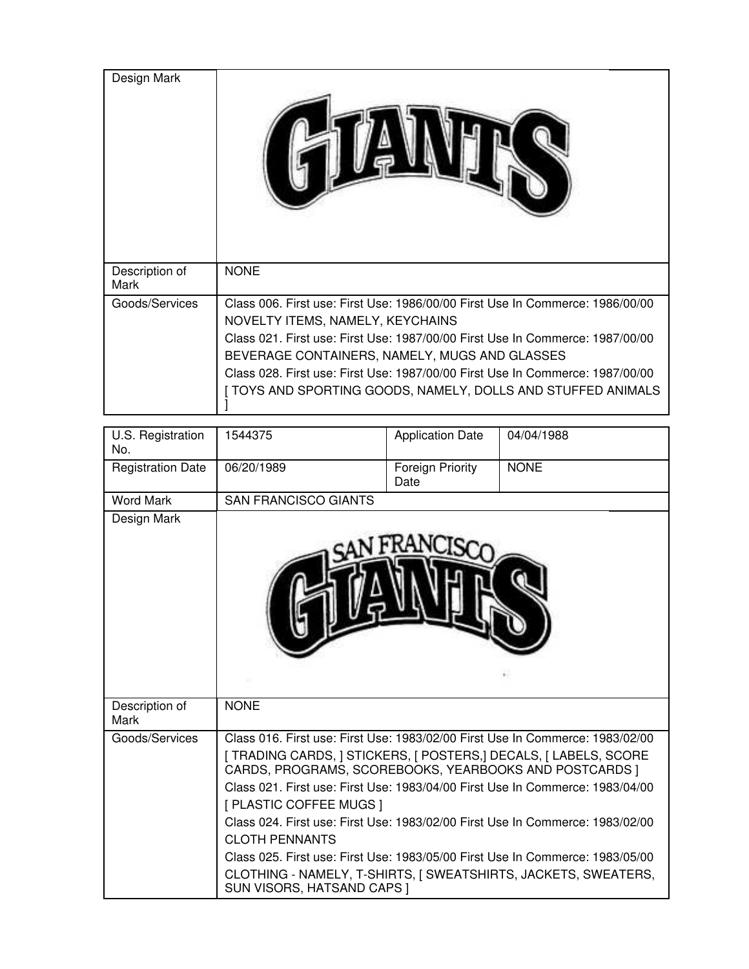| Design Mark            |                                                                                                                                                                                                                                                                                                                                                                                                      |
|------------------------|------------------------------------------------------------------------------------------------------------------------------------------------------------------------------------------------------------------------------------------------------------------------------------------------------------------------------------------------------------------------------------------------------|
| Description of<br>Mark | <b>NONE</b>                                                                                                                                                                                                                                                                                                                                                                                          |
| Goods/Services         | Class 006. First use: First Use: 1986/00/00 First Use In Commerce: 1986/00/00<br>NOVELTY ITEMS, NAMELY, KEYCHAINS<br>Class 021, First use: First Use: 1987/00/00 First Use In Commerce: 1987/00/00<br>BEVERAGE CONTAINERS, NAMELY, MUGS AND GLASSES<br>Class 028. First use: First Use: 1987/00/00 First Use In Commerce: 1987/00/00<br>[ TOYS AND SPORTING GOODS, NAMELY, DOLLS AND STUFFED ANIMALS |

| U.S. Registration<br>No. | 1544375                                                                                                                    | <b>Application Date</b>  | 04/04/1988  |
|--------------------------|----------------------------------------------------------------------------------------------------------------------------|--------------------------|-------------|
| <b>Registration Date</b> | 06/20/1989                                                                                                                 | Foreign Priority<br>Date | <b>NONE</b> |
| <b>Word Mark</b>         | <b>SAN FRANCISCO GIANTS</b>                                                                                                |                          |             |
| Design Mark              |                                                                                                                            |                          |             |
| Description of<br>Mark   | <b>NONE</b>                                                                                                                |                          |             |
| Goods/Services           | Class 016. First use: First Use: 1983/02/00 First Use In Commerce: 1983/02/00                                              |                          |             |
|                          | [ TRADING CARDS, ] STICKERS, [ POSTERS,] DECALS, [ LABELS, SCORE<br>CARDS, PROGRAMS, SCOREBOOKS, YEARBOOKS AND POSTCARDS ] |                          |             |
|                          | Class 021. First use: First Use: 1983/04/00 First Use In Commerce: 1983/04/00                                              |                          |             |
|                          | [ PLASTIC COFFEE MUGS ]                                                                                                    |                          |             |
|                          | Class 024. First use: First Use: 1983/02/00 First Use In Commerce: 1983/02/00                                              |                          |             |
|                          | <b>CLOTH PENNANTS</b>                                                                                                      |                          |             |
|                          | Class 025. First use: First Use: 1983/05/00 First Use In Commerce: 1983/05/00                                              |                          |             |
|                          | CLOTHING - NAMELY, T-SHIRTS, [ SWEATSHIRTS, JACKETS, SWEATERS,<br>SUN VISORS, HATSAND CAPS ]                               |                          |             |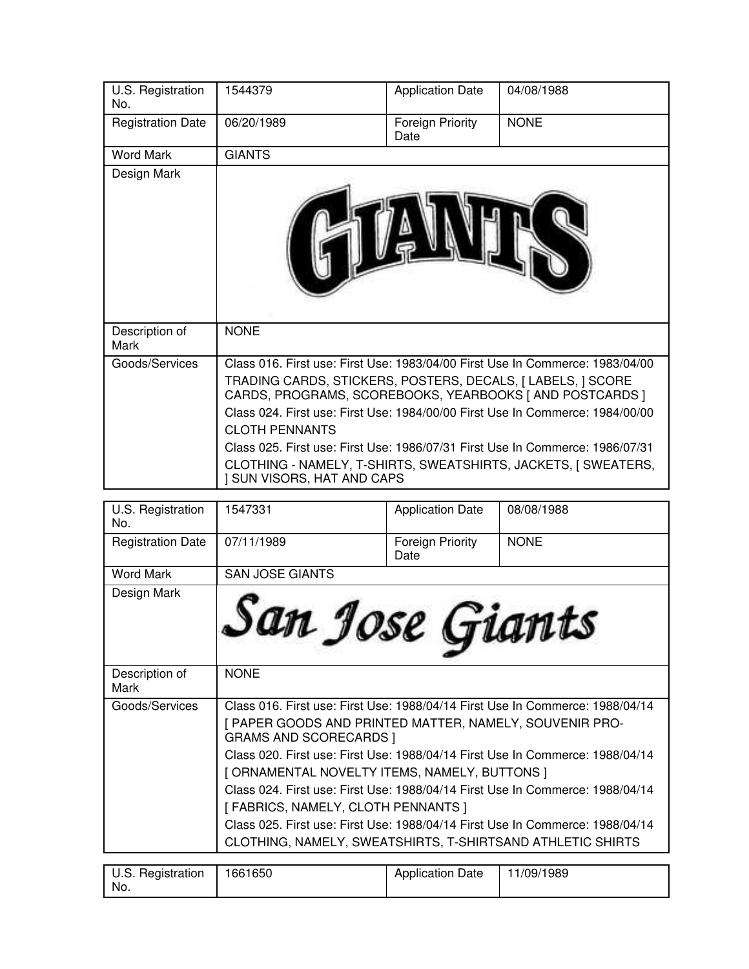| U.S. Registration<br>No. | 1544379                                                                                                                                                                                                                                                                                                                                                                                                                                                                                                    | <b>Application Date</b>  | 04/08/1988  |
|--------------------------|------------------------------------------------------------------------------------------------------------------------------------------------------------------------------------------------------------------------------------------------------------------------------------------------------------------------------------------------------------------------------------------------------------------------------------------------------------------------------------------------------------|--------------------------|-------------|
| <b>Registration Date</b> | 06/20/1989                                                                                                                                                                                                                                                                                                                                                                                                                                                                                                 | Foreign Priority<br>Date | <b>NONE</b> |
| <b>Word Mark</b>         | <b>GIANTS</b>                                                                                                                                                                                                                                                                                                                                                                                                                                                                                              |                          |             |
| Design Mark              |                                                                                                                                                                                                                                                                                                                                                                                                                                                                                                            |                          |             |
| Description of<br>Mark   | <b>NONE</b>                                                                                                                                                                                                                                                                                                                                                                                                                                                                                                |                          |             |
| Goods/Services           | Class 016, First use: First Use: 1983/04/00 First Use In Commerce: 1983/04/00<br>TRADING CARDS, STICKERS, POSTERS, DECALS, J LABELS, J SCORE<br>CARDS, PROGRAMS, SCOREBOOKS, YEARBOOKS [ AND POSTCARDS ]<br>Class 024, First use: First Use: 1984/00/00 First Use In Commerce: 1984/00/00<br><b>CLOTH PENNANTS</b><br>Class 025, First use: First Use: 1986/07/31 First Use In Commerce: 1986/07/31<br>CLOTHING - NAMELY, T-SHIRTS, SWEATSHIRTS, JACKETS, J SWEATERS,<br><b>I SUN VISORS, HAT AND CAPS</b> |                          |             |

| U.S. Registration<br>No. | 1547331                                                                                                                                                                                                                                                                                                                                                                                                                                                                                                                                                                          | <b>Application Date</b>  | 08/08/1988  |
|--------------------------|----------------------------------------------------------------------------------------------------------------------------------------------------------------------------------------------------------------------------------------------------------------------------------------------------------------------------------------------------------------------------------------------------------------------------------------------------------------------------------------------------------------------------------------------------------------------------------|--------------------------|-------------|
| <b>Registration Date</b> | 07/11/1989                                                                                                                                                                                                                                                                                                                                                                                                                                                                                                                                                                       | Foreign Priority<br>Date | <b>NONE</b> |
| <b>Word Mark</b>         | <b>SAN JOSE GIANTS</b>                                                                                                                                                                                                                                                                                                                                                                                                                                                                                                                                                           |                          |             |
| Design Mark              | San Jose Giants                                                                                                                                                                                                                                                                                                                                                                                                                                                                                                                                                                  |                          |             |
| Description of<br>Mark   | <b>NONE</b>                                                                                                                                                                                                                                                                                                                                                                                                                                                                                                                                                                      |                          |             |
| Goods/Services           | Class 016. First use: First Use: 1988/04/14 First Use In Commerce: 1988/04/14<br>[ PAPER GOODS AND PRINTED MATTER, NAMELY, SOUVENIR PRO-<br><b>GRAMS AND SCORECARDS  </b><br>Class 020. First use: First Use: 1988/04/14 First Use In Commerce: 1988/04/14<br>[ ORNAMENTAL NOVELTY ITEMS, NAMELY, BUTTONS ]<br>Class 024. First use: First Use: 1988/04/14 First Use In Commerce: 1988/04/14<br>[FABRICS, NAMELY, CLOTH PENNANTS]<br>Class 025. First use: First Use: 1988/04/14 First Use In Commerce: 1988/04/14<br>CLOTHING, NAMELY, SWEATSHIRTS, T-SHIRTSAND ATHLETIC SHIRTS |                          |             |

| U.S. Registration<br>No. | 1661650 | <b>Application Date</b> | 11/09/1989 |
|--------------------------|---------|-------------------------|------------|
|                          |         |                         |            |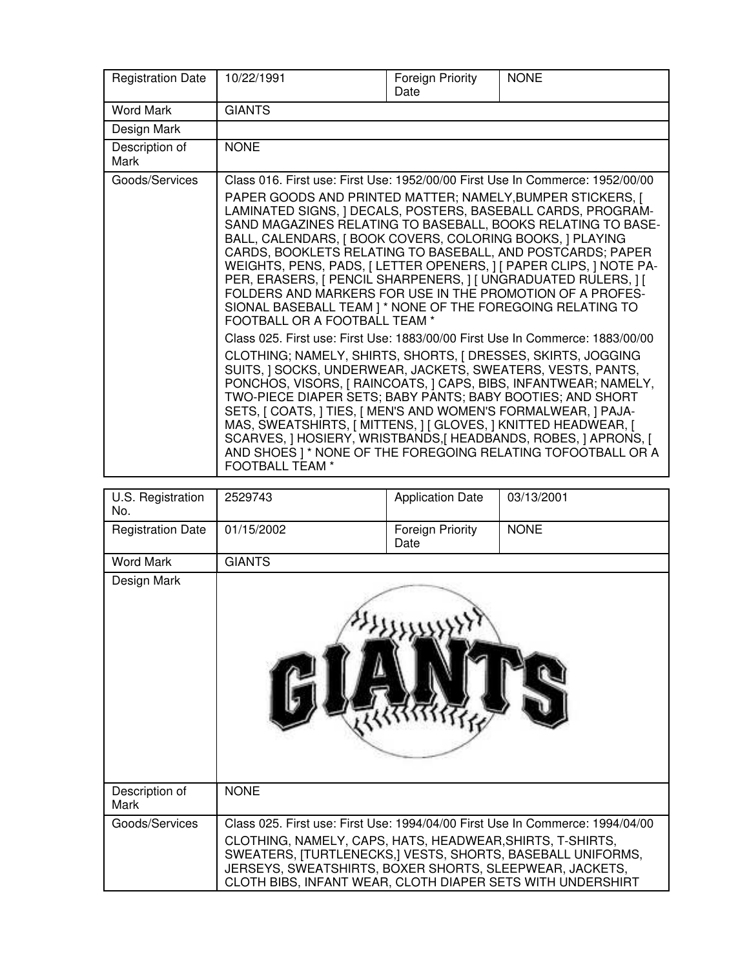| <b>Registration Date</b> | 10/22/1991                                                                                                                                                                                                                                                                                                                                                                                                                                                                                                                                                                                                                                                                                                                                                                                                                                                                                                                                                                                                                                                                                                                                             | Foreign Priority<br>Date | <b>NONE</b>                                                                                                                                                                                        |
|--------------------------|--------------------------------------------------------------------------------------------------------------------------------------------------------------------------------------------------------------------------------------------------------------------------------------------------------------------------------------------------------------------------------------------------------------------------------------------------------------------------------------------------------------------------------------------------------------------------------------------------------------------------------------------------------------------------------------------------------------------------------------------------------------------------------------------------------------------------------------------------------------------------------------------------------------------------------------------------------------------------------------------------------------------------------------------------------------------------------------------------------------------------------------------------------|--------------------------|----------------------------------------------------------------------------------------------------------------------------------------------------------------------------------------------------|
| <b>Word Mark</b>         | <b>GIANTS</b>                                                                                                                                                                                                                                                                                                                                                                                                                                                                                                                                                                                                                                                                                                                                                                                                                                                                                                                                                                                                                                                                                                                                          |                          |                                                                                                                                                                                                    |
| Design Mark              |                                                                                                                                                                                                                                                                                                                                                                                                                                                                                                                                                                                                                                                                                                                                                                                                                                                                                                                                                                                                                                                                                                                                                        |                          |                                                                                                                                                                                                    |
| Description of<br>Mark   | <b>NONE</b>                                                                                                                                                                                                                                                                                                                                                                                                                                                                                                                                                                                                                                                                                                                                                                                                                                                                                                                                                                                                                                                                                                                                            |                          |                                                                                                                                                                                                    |
| Goods/Services           | Class 016. First use: First Use: 1952/00/00 First Use In Commerce: 1952/00/00<br>PAPER GOODS AND PRINTED MATTER; NAMELY, BUMPER STICKERS, [<br>LAMINATED SIGNS, ] DECALS, POSTERS, BASEBALL CARDS, PROGRAM-<br>BALL, CALENDARS, J BOOK COVERS, COLORING BOOKS, J PLAYING<br>CARDS, BOOKLETS RELATING TO BASEBALL, AND POSTCARDS; PAPER<br>PER, ERASERS, [ PENCIL SHARPENERS, ] [ UNGRADUATED RULERS, ] [<br>FOLDERS AND MARKERS FOR USE IN THE PROMOTION OF A PROFES-<br>SIONAL BASEBALL TEAM ] * NONE OF THE FOREGOING RELATING TO<br>FOOTBALL OR A FOOTBALL TEAM *<br>Class 025. First use: First Use: 1883/00/00 First Use In Commerce: 1883/00/00<br>CLOTHING; NAMELY, SHIRTS, SHORTS, [ DRESSES, SKIRTS, JOGGING<br>SUITS, J SOCKS, UNDERWEAR, JACKETS, SWEATERS, VESTS, PANTS,<br>PONCHOS, VISORS, [ RAINCOATS, ] CAPS, BIBS, INFANTWEAR; NAMELY,<br>TWO-PIECE DIAPER SETS; BABY PANTS; BABY BOOTIES; AND SHORT<br>SETS, [ COATS, ] TIES, [ MEN'S AND WOMEN'S FORMALWEAR, ] PAJA-<br>MAS, SWEATSHIRTS, [ MITTENS, ] [ GLOVES, ] KNITTED HEADWEAR, [<br>SCARVES, ] HOSIERY, WRISTBANDS, [ HEADBANDS, ROBES, ] APRONS, [<br><b>FOOTBALL TEAM *</b> |                          | SAND MAGAZINES RELATING TO BASEBALL, BOOKS RELATING TO BASE-<br>WEIGHTS, PENS, PADS, [ LETTER OPENERS, ] [ PAPER CLIPS, ] NOTE PA-<br>AND SHOES ] * NONE OF THE FOREGOING RELATING TOFOOTBALL OR A |

| U.S. Registration<br>No. | 2529743                                                                                                                                                                                                                                          | <b>Application Date</b>  | 03/13/2001                                                                    |
|--------------------------|--------------------------------------------------------------------------------------------------------------------------------------------------------------------------------------------------------------------------------------------------|--------------------------|-------------------------------------------------------------------------------|
| <b>Registration Date</b> | 01/15/2002                                                                                                                                                                                                                                       | Foreign Priority<br>Date | <b>NONE</b>                                                                   |
| <b>Word Mark</b>         | <b>GIANTS</b>                                                                                                                                                                                                                                    |                          |                                                                               |
| Design Mark              |                                                                                                                                                                                                                                                  |                          |                                                                               |
| Description of<br>Mark   | <b>NONE</b>                                                                                                                                                                                                                                      |                          |                                                                               |
| Goods/Services           | CLOTHING, NAMELY, CAPS, HATS, HEADWEAR, SHIRTS, T-SHIRTS,<br>SWEATERS, [TURTLENECKS,] VESTS, SHORTS, BASEBALL UNIFORMS,<br>JERSEYS, SWEATSHIRTS, BOXER SHORTS, SLEEPWEAR, JACKETS,<br>CLOTH BIBS, INFANT WEAR, CLOTH DIAPER SETS WITH UNDERSHIRT |                          | Class 025. First use: First Use: 1994/04/00 First Use In Commerce: 1994/04/00 |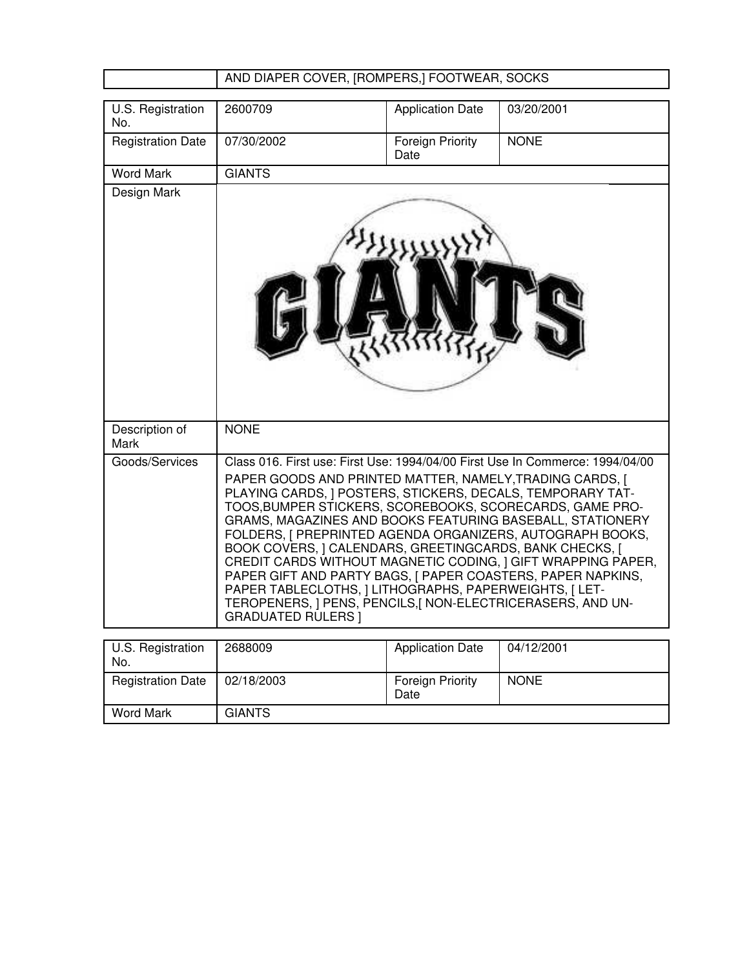# AND DIAPER COVER, [ROMPERS,] FOOTWEAR, SOCKS

| U.S. Registration<br>No. | 2600709                                                                                                                                                                                                                                                                                                                                                                                                                                                                                                                                                                                                                                                                                                                                       | <b>Application Date</b>         | 03/20/2001  |
|--------------------------|-----------------------------------------------------------------------------------------------------------------------------------------------------------------------------------------------------------------------------------------------------------------------------------------------------------------------------------------------------------------------------------------------------------------------------------------------------------------------------------------------------------------------------------------------------------------------------------------------------------------------------------------------------------------------------------------------------------------------------------------------|---------------------------------|-------------|
| <b>Registration Date</b> | 07/30/2002                                                                                                                                                                                                                                                                                                                                                                                                                                                                                                                                                                                                                                                                                                                                    | <b>Foreign Priority</b><br>Date | <b>NONE</b> |
| <b>Word Mark</b>         | <b>GIANTS</b>                                                                                                                                                                                                                                                                                                                                                                                                                                                                                                                                                                                                                                                                                                                                 |                                 |             |
| Design Mark              |                                                                                                                                                                                                                                                                                                                                                                                                                                                                                                                                                                                                                                                                                                                                               |                                 |             |
| Description of<br>Mark   | <b>NONE</b>                                                                                                                                                                                                                                                                                                                                                                                                                                                                                                                                                                                                                                                                                                                                   |                                 |             |
| Goods/Services           | Class 016. First use: First Use: 1994/04/00 First Use In Commerce: 1994/04/00<br>PAPER GOODS AND PRINTED MATTER, NAMELY, TRADING CARDS, [<br>PLAYING CARDS, J POSTERS, STICKERS, DECALS, TEMPORARY TAT-<br>TOOS, BUMPER STICKERS, SCOREBOOKS, SCORECARDS, GAME PRO-<br>GRAMS, MAGAZINES AND BOOKS FEATURING BASEBALL, STATIONERY<br>FOLDERS, I PREPRINTED AGENDA ORGANIZERS, AUTOGRAPH BOOKS,<br>BOOK COVERS, ] CALENDARS, GREETINGCARDS, BANK CHECKS, [<br>CREDIT CARDS WITHOUT MAGNETIC CODING, I GIFT WRAPPING PAPER,<br>PAPER GIFT AND PARTY BAGS, [ PAPER COASTERS, PAPER NAPKINS,<br>PAPER TABLECLOTHS,   LITHOGRAPHS, PAPERWEIGHTS,   LET-<br>TEROPENERS, ] PENS, PENCILS, [ NON-ELECTRICERASERS, AND UN-<br><b>GRADUATED RULERS  </b> |                                 |             |
| U.S. Registration<br>No. | 2688009                                                                                                                                                                                                                                                                                                                                                                                                                                                                                                                                                                                                                                                                                                                                       | <b>Application Date</b>         | 04/12/2001  |
| <b>Registration Date</b> | 02/18/2003                                                                                                                                                                                                                                                                                                                                                                                                                                                                                                                                                                                                                                                                                                                                    | <b>Foreign Priority</b><br>Date | <b>NONE</b> |
| <b>Word Mark</b>         | <b>GIANTS</b>                                                                                                                                                                                                                                                                                                                                                                                                                                                                                                                                                                                                                                                                                                                                 |                                 |             |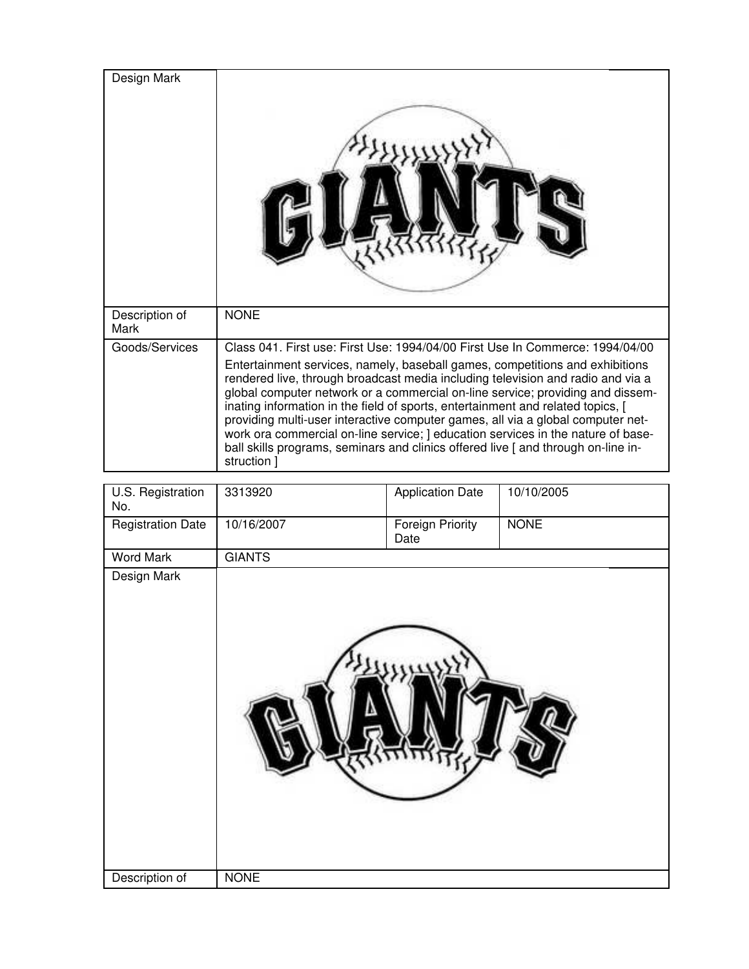| Design Mark            |                                                                                                                                                                                                                                                                                                                                                                                                                                                                                                                                                                                                                 |
|------------------------|-----------------------------------------------------------------------------------------------------------------------------------------------------------------------------------------------------------------------------------------------------------------------------------------------------------------------------------------------------------------------------------------------------------------------------------------------------------------------------------------------------------------------------------------------------------------------------------------------------------------|
| Description of<br>Mark | <b>NONE</b>                                                                                                                                                                                                                                                                                                                                                                                                                                                                                                                                                                                                     |
| Goods/Services         | Class 041, First use: First Use: 1994/04/00 First Use In Commerce: 1994/04/00                                                                                                                                                                                                                                                                                                                                                                                                                                                                                                                                   |
|                        | Entertainment services, namely, baseball games, competitions and exhibitions<br>rendered live, through broadcast media including television and radio and via a<br>global computer network or a commercial on-line service; providing and dissem-<br>inating information in the field of sports, entertainment and related topics, [<br>providing multi-user interactive computer games, all via a global computer net-<br>work ora commercial on-line service; ] education services in the nature of base-<br>ball skills programs, seminars and clinics offered live [ and through on-line in-<br>struction ] |

| U.S. Registration<br>No. | 3313920       | <b>Application Date</b>  | 10/10/2005  |
|--------------------------|---------------|--------------------------|-------------|
| <b>Registration Date</b> | 10/16/2007    | Foreign Priority<br>Date | <b>NONE</b> |
| <b>Word Mark</b>         | <b>GIANTS</b> |                          |             |
| Design Mark              |               |                          |             |
| Description of           | <b>NONE</b>   |                          |             |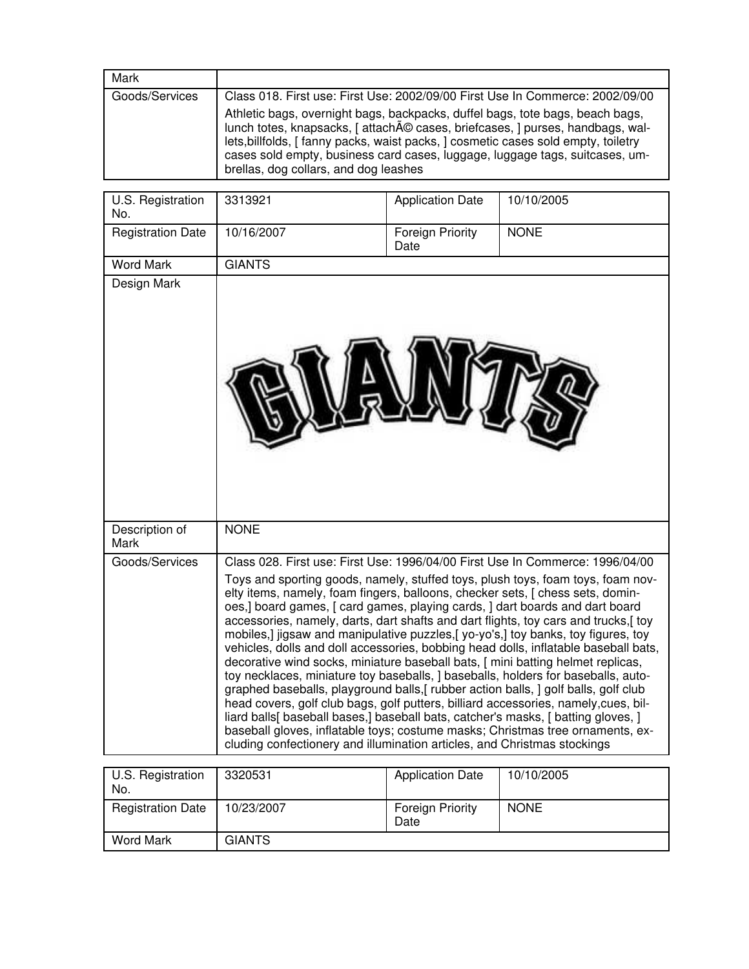| Mark           |                                                                                                                                                                                                                                                                                                                                                                               |
|----------------|-------------------------------------------------------------------------------------------------------------------------------------------------------------------------------------------------------------------------------------------------------------------------------------------------------------------------------------------------------------------------------|
| Goods/Services | Class 018. First use: First Use: 2002/09/00 First Use In Commerce: 2002/09/00                                                                                                                                                                                                                                                                                                 |
|                | Athletic bags, overnight bags, backpacks, duffel bags, tote bags, beach bags,<br>lunch totes, knapsacks, [ attaché cases, briefcases, ] purses, handbags, wal-<br>lets, billfolds, [ fanny packs, waist packs, ] cosmetic cases sold empty, toiletry<br>cases sold empty, business card cases, luggage, luggage tags, suitcases, um-<br>brellas, dog collars, and dog leashes |

| U.S. Registration<br>No. | 3313921                                                                                                                                                                                                                                                                                                                                                                                                                                                                                                                                                                                                                                                                                                                                                                | <b>Application Date</b>         | 10/10/2005                                                                                                                                                                                                                                                                                                                                                                                                                      |
|--------------------------|------------------------------------------------------------------------------------------------------------------------------------------------------------------------------------------------------------------------------------------------------------------------------------------------------------------------------------------------------------------------------------------------------------------------------------------------------------------------------------------------------------------------------------------------------------------------------------------------------------------------------------------------------------------------------------------------------------------------------------------------------------------------|---------------------------------|---------------------------------------------------------------------------------------------------------------------------------------------------------------------------------------------------------------------------------------------------------------------------------------------------------------------------------------------------------------------------------------------------------------------------------|
| <b>Registration Date</b> | 10/16/2007                                                                                                                                                                                                                                                                                                                                                                                                                                                                                                                                                                                                                                                                                                                                                             | <b>Foreign Priority</b><br>Date | <b>NONE</b>                                                                                                                                                                                                                                                                                                                                                                                                                     |
| <b>Word Mark</b>         | <b>GIANTS</b>                                                                                                                                                                                                                                                                                                                                                                                                                                                                                                                                                                                                                                                                                                                                                          |                                 |                                                                                                                                                                                                                                                                                                                                                                                                                                 |
| Design Mark              |                                                                                                                                                                                                                                                                                                                                                                                                                                                                                                                                                                                                                                                                                                                                                                        |                                 |                                                                                                                                                                                                                                                                                                                                                                                                                                 |
| Description of<br>Mark   | <b>NONE</b>                                                                                                                                                                                                                                                                                                                                                                                                                                                                                                                                                                                                                                                                                                                                                            |                                 |                                                                                                                                                                                                                                                                                                                                                                                                                                 |
| Goods/Services           | elty items, namely, foam fingers, balloons, checker sets, [ chess sets, domin-<br>oes,] board games, [ card games, playing cards, ] dart boards and dart board<br>mobiles,] jigsaw and manipulative puzzles,[yo-yo's,] toy banks, toy figures, toy<br>decorative wind socks, miniature baseball bats, [ mini batting helmet replicas,<br>toy necklaces, miniature toy baseballs, ] baseballs, holders for baseballs, auto-<br>graphed baseballs, playground balls, [rubber action balls, ] golf balls, golf club<br>head covers, golf club bags, golf putters, billiard accessories, namely, cues, bil-<br>liard balls[baseball bases,] baseball bats, catcher's masks, [batting gloves, ]<br>cluding confectionery and illumination articles, and Christmas stockings |                                 | Class 028. First use: First Use: 1996/04/00 First Use In Commerce: 1996/04/00<br>Toys and sporting goods, namely, stuffed toys, plush toys, foam toys, foam nov-<br>accessories, namely, darts, dart shafts and dart flights, toy cars and trucks,[toy<br>vehicles, dolls and doll accessories, bobbing head dolls, inflatable baseball bats,<br>baseball gloves, inflatable toys; costume masks; Christmas tree ornaments, ex- |

| U.S. Registration<br>No. | 3320531    | <b>Application Date</b>         | 10/10/2005  |
|--------------------------|------------|---------------------------------|-------------|
| <b>Registration Date</b> | 10/23/2007 | <b>Foreign Priority</b><br>Date | <b>NONE</b> |
| <b>Word Mark</b>         | GIANTS     |                                 |             |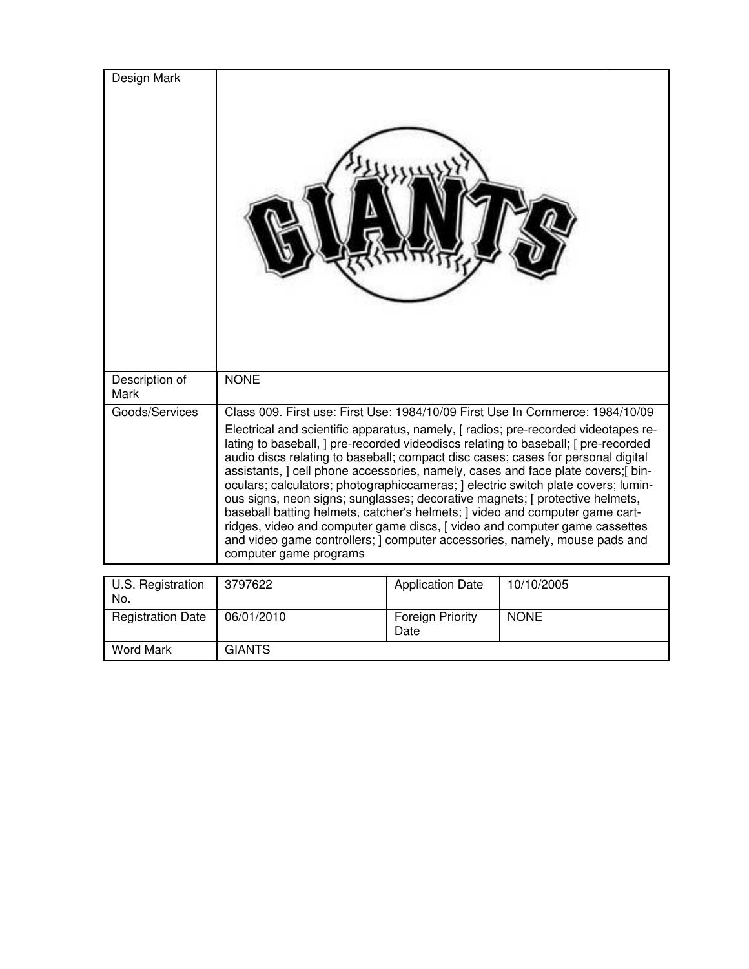| Design Mark              |                                                                                                                                                                                                                                                                                                                                                                                                                                                                                                                                                                                                                                                                                                                                                                                            |                                 |             |
|--------------------------|--------------------------------------------------------------------------------------------------------------------------------------------------------------------------------------------------------------------------------------------------------------------------------------------------------------------------------------------------------------------------------------------------------------------------------------------------------------------------------------------------------------------------------------------------------------------------------------------------------------------------------------------------------------------------------------------------------------------------------------------------------------------------------------------|---------------------------------|-------------|
| Description of<br>Mark   | <b>NONE</b>                                                                                                                                                                                                                                                                                                                                                                                                                                                                                                                                                                                                                                                                                                                                                                                |                                 |             |
| Goods/Services           | Class 009. First use: First Use: 1984/10/09 First Use In Commerce: 1984/10/09                                                                                                                                                                                                                                                                                                                                                                                                                                                                                                                                                                                                                                                                                                              |                                 |             |
|                          | Electrical and scientific apparatus, namely, [radios; pre-recorded videotapes re-<br>lating to baseball, ] pre-recorded videodiscs relating to baseball; [ pre-recorded<br>audio discs relating to baseball; compact disc cases; cases for personal digital<br>assistants, ] cell phone accessories, namely, cases and face plate covers;[ bin-<br>oculars; calculators; photographiccameras; ] electric switch plate covers; lumin-<br>ous signs, neon signs; sunglasses; decorative magnets; [ protective helmets,<br>baseball batting helmets, catcher's helmets; ] video and computer game cart-<br>ridges, video and computer game discs, [ video and computer game cassettes<br>and video game controllers; I computer accessories, namely, mouse pads and<br>computer game programs |                                 |             |
|                          | 3797622                                                                                                                                                                                                                                                                                                                                                                                                                                                                                                                                                                                                                                                                                                                                                                                    |                                 | 10/10/2005  |
| U.S. Registration<br>No. |                                                                                                                                                                                                                                                                                                                                                                                                                                                                                                                                                                                                                                                                                                                                                                                            | <b>Application Date</b>         |             |
| <b>Registration Date</b> | 06/01/2010                                                                                                                                                                                                                                                                                                                                                                                                                                                                                                                                                                                                                                                                                                                                                                                 | <b>Foreign Priority</b><br>Date | <b>NONE</b> |
| <b>Word Mark</b>         | <b>GIANTS</b>                                                                                                                                                                                                                                                                                                                                                                                                                                                                                                                                                                                                                                                                                                                                                                              |                                 |             |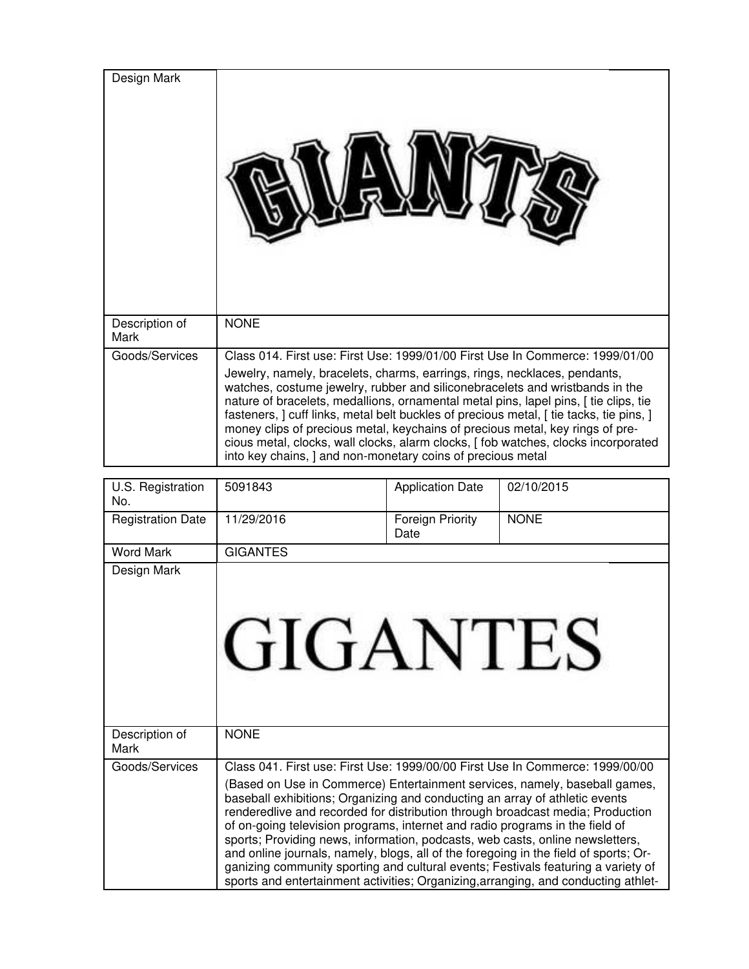| Design Mark            |                                                                                                                                                                                                                                                                                                                                                                                                                                                                                                                                                                                                                                                                    |
|------------------------|--------------------------------------------------------------------------------------------------------------------------------------------------------------------------------------------------------------------------------------------------------------------------------------------------------------------------------------------------------------------------------------------------------------------------------------------------------------------------------------------------------------------------------------------------------------------------------------------------------------------------------------------------------------------|
| Description of<br>Mark | <b>NONE</b>                                                                                                                                                                                                                                                                                                                                                                                                                                                                                                                                                                                                                                                        |
| Goods/Services         | Class 014. First use: First Use: 1999/01/00 First Use In Commerce: 1999/01/00<br>Jewelry, namely, bracelets, charms, earrings, rings, necklaces, pendants,<br>watches, costume jewelry, rubber and siliconebracelets and wristbands in the<br>nature of bracelets, medallions, ornamental metal pins, lapel pins, [ tie clips, tie<br>fasteners, ] cuff links, metal belt buckles of precious metal, [ tie tacks, tie pins, ]<br>money clips of precious metal, keychains of precious metal, key rings of pre-<br>cious metal, clocks, wall clocks, alarm clocks, [fob watches, clocks incorporated<br>into key chains, ] and non-monetary coins of precious metal |

| U.S. Registration<br>No. | 5091843                                                                                                                                                                                                                                                                                                                              | <b>Application Date</b>  | 02/10/2015                                                                                                                                                                                                                                                                                                                                                                                                               |
|--------------------------|--------------------------------------------------------------------------------------------------------------------------------------------------------------------------------------------------------------------------------------------------------------------------------------------------------------------------------------|--------------------------|--------------------------------------------------------------------------------------------------------------------------------------------------------------------------------------------------------------------------------------------------------------------------------------------------------------------------------------------------------------------------------------------------------------------------|
| <b>Registration Date</b> | 11/29/2016                                                                                                                                                                                                                                                                                                                           | Foreign Priority<br>Date | <b>NONE</b>                                                                                                                                                                                                                                                                                                                                                                                                              |
| <b>Word Mark</b>         | <b>GIGANTES</b>                                                                                                                                                                                                                                                                                                                      |                          |                                                                                                                                                                                                                                                                                                                                                                                                                          |
| Design Mark              | GIGANTES                                                                                                                                                                                                                                                                                                                             |                          |                                                                                                                                                                                                                                                                                                                                                                                                                          |
| Description of<br>Mark   | <b>NONE</b>                                                                                                                                                                                                                                                                                                                          |                          |                                                                                                                                                                                                                                                                                                                                                                                                                          |
| Goods/Services           | baseball exhibitions; Organizing and conducting an array of athletic events<br>of on-going television programs, internet and radio programs in the field of<br>sports; Providing news, information, podcasts, web casts, online newsletters,<br>and online journals, namely, blogs, all of the foregoing in the field of sports; Or- |                          | Class 041. First use: First Use: 1999/00/00 First Use In Commerce: 1999/00/00<br>(Based on Use in Commerce) Entertainment services, namely, baseball games,<br>renderedlive and recorded for distribution through broadcast media; Production<br>ganizing community sporting and cultural events; Festivals featuring a variety of<br>sports and entertainment activities; Organizing, arranging, and conducting athlet- |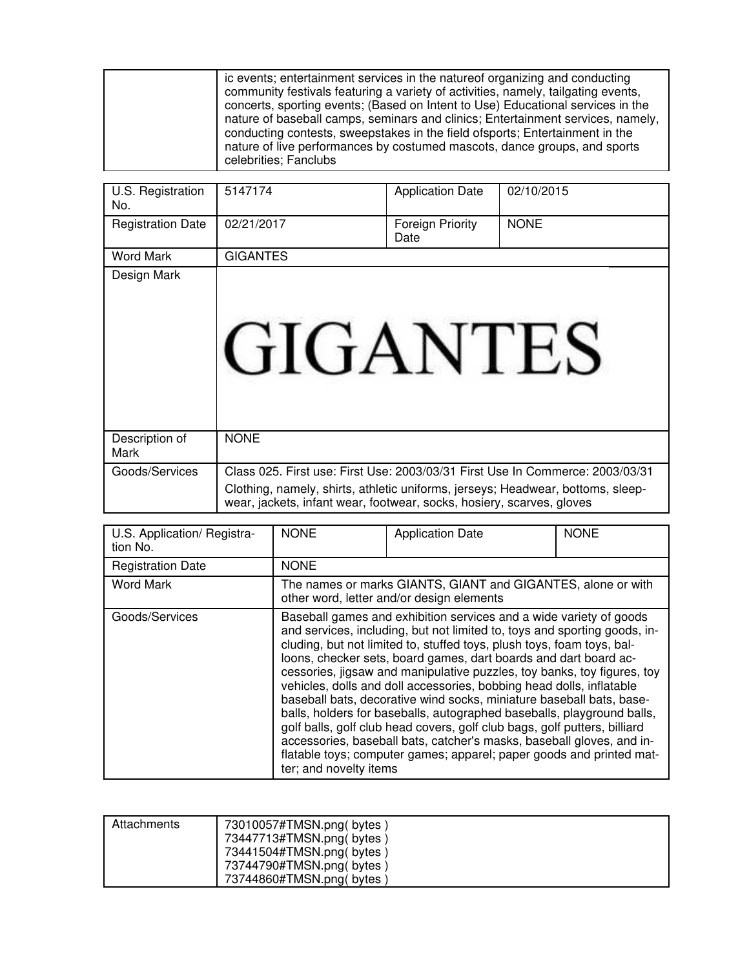| ic events; entertainment services in the nature of organizing and conducting<br>community festivals featuring a variety of activities, namely, tailgating events,<br>concerts, sporting events; (Based on Intent to Use) Educational services in the<br>nature of baseball camps, seminars and clinics; Entertainment services, namely,<br>conducting contests, sweepstakes in the field of sports; Entertainment in the<br>nature of live performances by costumed mascots, dance groups, and sports<br>celebrities; Fanclubs |  |
|--------------------------------------------------------------------------------------------------------------------------------------------------------------------------------------------------------------------------------------------------------------------------------------------------------------------------------------------------------------------------------------------------------------------------------------------------------------------------------------------------------------------------------|--|
|--------------------------------------------------------------------------------------------------------------------------------------------------------------------------------------------------------------------------------------------------------------------------------------------------------------------------------------------------------------------------------------------------------------------------------------------------------------------------------------------------------------------------------|--|

| U.S. Registration<br>No. | 5147174                                                                                                                                                                                                                                   | <b>Application Date</b>  | 02/10/2015  |
|--------------------------|-------------------------------------------------------------------------------------------------------------------------------------------------------------------------------------------------------------------------------------------|--------------------------|-------------|
| <b>Registration Date</b> | 02/21/2017                                                                                                                                                                                                                                | Foreign Priority<br>Date | <b>NONE</b> |
| Word Mark                | <b>GIGANTES</b>                                                                                                                                                                                                                           |                          |             |
| Design Mark              | GIGANTES                                                                                                                                                                                                                                  |                          |             |
| Description of<br>Mark   | <b>NONE</b>                                                                                                                                                                                                                               |                          |             |
| Goods/Services           | Class 025. First use: First Use: 2003/03/31 First Use In Commerce: 2003/03/31<br>Clothing, namely, shirts, athletic uniforms, jerseys; Headwear, bottoms, sleep-<br>wear, jackets, infant wear, footwear, socks, hosiery, scarves, gloves |                          |             |

| U.S. Application/ Registra-<br>tion No. | <b>NONE</b>            | <b>Application Date</b>                                                                                                                                                                                                                                                                                                                                                                                                                                                                                                                                                                                                                                                                                                                                                                                                          | <b>NONE</b> |
|-----------------------------------------|------------------------|----------------------------------------------------------------------------------------------------------------------------------------------------------------------------------------------------------------------------------------------------------------------------------------------------------------------------------------------------------------------------------------------------------------------------------------------------------------------------------------------------------------------------------------------------------------------------------------------------------------------------------------------------------------------------------------------------------------------------------------------------------------------------------------------------------------------------------|-------------|
| <b>Registration Date</b>                | <b>NONE</b>            |                                                                                                                                                                                                                                                                                                                                                                                                                                                                                                                                                                                                                                                                                                                                                                                                                                  |             |
| <b>Word Mark</b>                        |                        | The names or marks GIANTS, GIANT and GIGANTES, alone or with<br>other word, letter and/or design elements                                                                                                                                                                                                                                                                                                                                                                                                                                                                                                                                                                                                                                                                                                                        |             |
| Goods/Services                          | ter; and novelty items | Baseball games and exhibition services and a wide variety of goods<br>and services, including, but not limited to, toys and sporting goods, in-<br>cluding, but not limited to, stuffed toys, plush toys, foam toys, bal-<br>loons, checker sets, board games, dart boards and dart board ac-<br>cessories, jigsaw and manipulative puzzles, toy banks, toy figures, toy<br>vehicles, dolls and doll accessories, bobbing head dolls, inflatable<br>baseball bats, decorative wind socks, miniature baseball bats, base-<br>balls, holders for baseballs, autographed baseballs, playground balls,<br>golf balls, golf club head covers, golf club bags, golf putters, billiard<br>accessories, baseball bats, catcher's masks, baseball gloves, and in-<br>flatable toys; computer games; apparel; paper goods and printed mat- |             |

| Attachments | 73010057#TMSN.png(bytes)<br>73447713#TMSN.png(bytes)<br>73441504#TMSN.png(bytes) |
|-------------|----------------------------------------------------------------------------------|
|             | 73744790#TMSN.png(bytes)<br>73744860#TMSN.png(bytes)                             |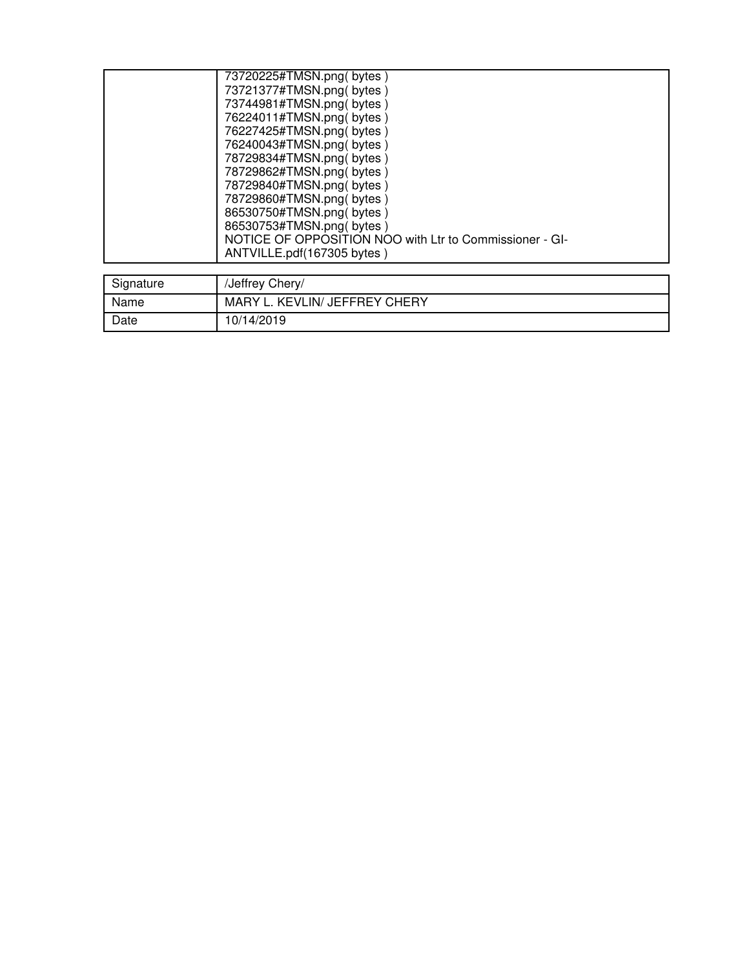|           | 73720225#TMSN.png( bytes )<br>73721377#TMSN.png(bytes)<br>73744981#TMSN.png(bytes)<br>76224011#TMSN.png(bytes)<br>76227425#TMSN.png(bytes)<br>76240043#TMSN.png( bytes )<br>78729834#TMSN.png(bytes)<br>78729862#TMSN.png( bytes )<br>78729840#TMSN.png(bytes)<br>78729860#TMSN.png(bytes)<br>86530750#TMSN.png(bytes)<br>86530753#TMSN.png(bytes)<br>NOTICE OF OPPOSITION NOO with Ltr to Commissioner - GI-<br>ANTVILLE.pdf(167305 bytes) |
|-----------|---------------------------------------------------------------------------------------------------------------------------------------------------------------------------------------------------------------------------------------------------------------------------------------------------------------------------------------------------------------------------------------------------------------------------------------------|
| Signature | /Jeffrey Chery/                                                                                                                                                                                                                                                                                                                                                                                                                             |

| Signature | /Jeffrey Chery/               |
|-----------|-------------------------------|
| Name      | MARY L. KEVLIN/ JEFFREY CHERY |
| Date      | 10/14/2019                    |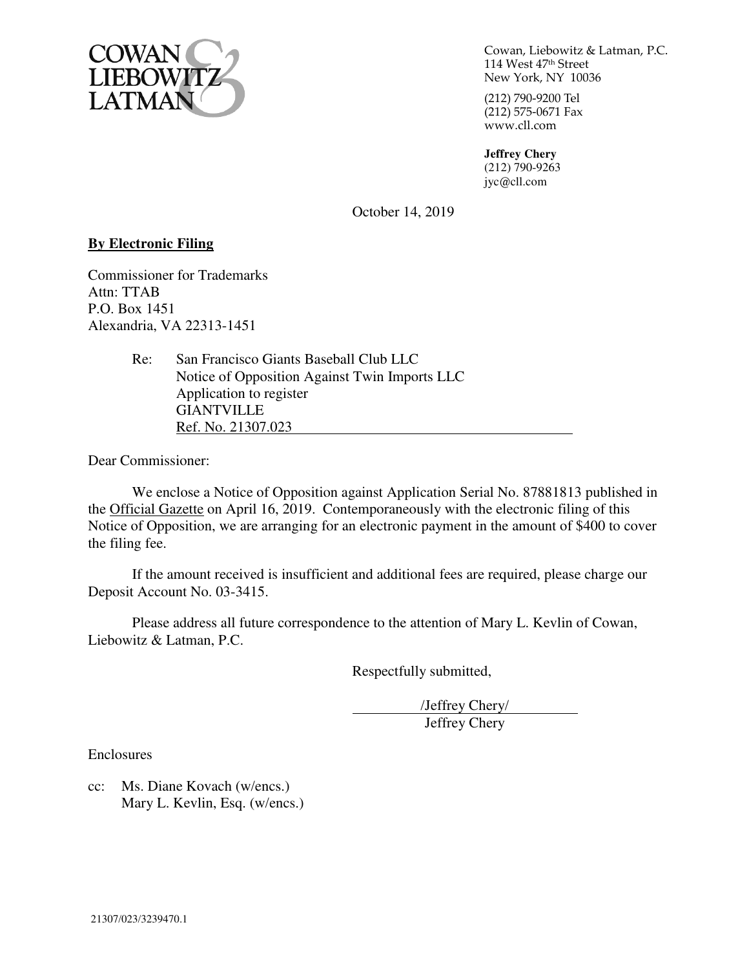

Cowan, Liebowitz & Latman, P.C. 114 West 47th Street New York, NY 10036

(212) 790-9200 Tel  $(212)$  575-0671 Fax www.cll.com

**Jeffrey Chery**  (212) 790-9263 jyc@cll.com

October 14, 2019

### **By Electronic Filing**

Commissioner for Trademarks Attn: TTAB P.O. Box 1451 Alexandria, VA 22313-1451

> Re: San Francisco Giants Baseball Club LLC Notice of Opposition Against Twin Imports LLC Application to register GIANTVILLE Ref. No. 21307.023

Dear Commissioner:

We enclose a Notice of Opposition against Application Serial No. 87881813 published in the Official Gazette on April 16, 2019. Contemporaneously with the electronic filing of this Notice of Opposition, we are arranging for an electronic payment in the amount of \$400 to cover the filing fee.

If the amount received is insufficient and additional fees are required, please charge our Deposit Account No. 03-3415.

Please address all future correspondence to the attention of Mary L. Kevlin of Cowan, Liebowitz & Latman, P.C.

Respectfully submitted,

/Jeffrey Chery/ Jeffrey Chery

Enclosures

cc: Ms. Diane Kovach (w/encs.) Mary L. Kevlin, Esq. (w/encs.)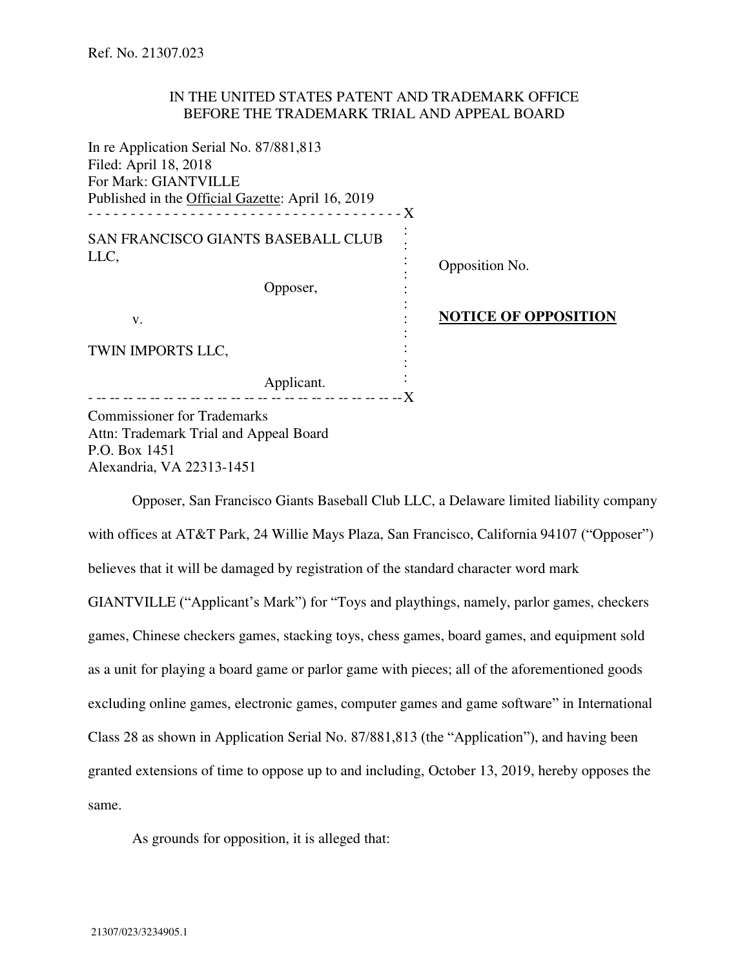#### IN THE UNITED STATES PATENT AND TRADEMARK OFFICE BEFORE THE TRADEMARK TRIAL AND APPEAL BOARD

| In re Application Serial No. 87/881,813           |                             |
|---------------------------------------------------|-----------------------------|
| Filed: April 18, 2018                             |                             |
| For Mark: GIANTVILLE                              |                             |
| Published in the Official Gazette: April 16, 2019 |                             |
|                                                   |                             |
| SAN FRANCISCO GIANTS BASEBALL CLUB                |                             |
| LLC,                                              | Opposition No.              |
| Opposer,                                          |                             |
| V.                                                | <b>NOTICE OF OPPOSITION</b> |
| TWIN IMPORTS LLC,                                 |                             |
|                                                   |                             |
| Applicant.                                        |                             |
| Commissioner for Trademarks                       |                             |

missioner for Tradema Attn: Trademark Trial and Appeal Board P.O. Box 1451 Alexandria, VA 22313-1451

Opposer, San Francisco Giants Baseball Club LLC, a Delaware limited liability company with offices at AT&T Park, 24 Willie Mays Plaza, San Francisco, California 94107 ("Opposer") believes that it will be damaged by registration of the standard character word mark GIANTVILLE ("Applicant's Mark") for "Toys and playthings, namely, parlor games, checkers games, Chinese checkers games, stacking toys, chess games, board games, and equipment sold as a unit for playing a board game or parlor game with pieces; all of the aforementioned goods excluding online games, electronic games, computer games and game software" in International Class 28 as shown in Application Serial No. 87/881,813 (the "Application"), and having been granted extensions of time to oppose up to and including, October 13, 2019, hereby opposes the same.

As grounds for opposition, it is alleged that: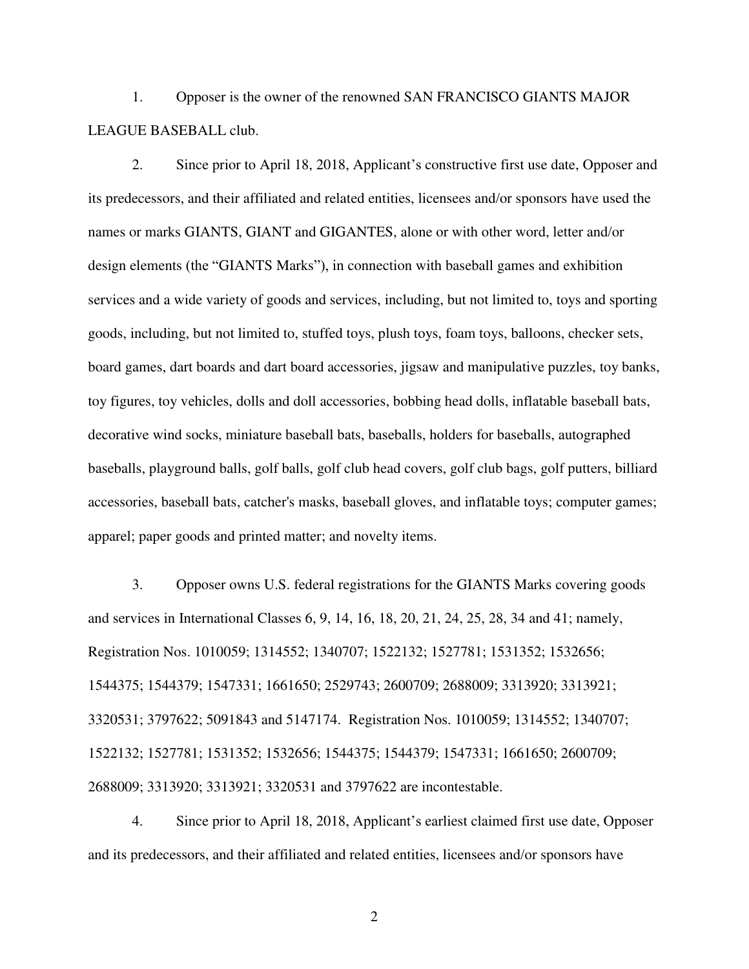1. Opposer is the owner of the renowned SAN FRANCISCO GIANTS MAJOR LEAGUE BASEBALL club.

2. Since prior to April 18, 2018, Applicant's constructive first use date, Opposer and its predecessors, and their affiliated and related entities, licensees and/or sponsors have used the names or marks GIANTS, GIANT and GIGANTES, alone or with other word, letter and/or design elements (the "GIANTS Marks"), in connection with baseball games and exhibition services and a wide variety of goods and services, including, but not limited to, toys and sporting goods, including, but not limited to, stuffed toys, plush toys, foam toys, balloons, checker sets, board games, dart boards and dart board accessories, jigsaw and manipulative puzzles, toy banks, toy figures, toy vehicles, dolls and doll accessories, bobbing head dolls, inflatable baseball bats, decorative wind socks, miniature baseball bats, baseballs, holders for baseballs, autographed baseballs, playground balls, golf balls, golf club head covers, golf club bags, golf putters, billiard accessories, baseball bats, catcher's masks, baseball gloves, and inflatable toys; computer games; apparel; paper goods and printed matter; and novelty items.

3. Opposer owns U.S. federal registrations for the GIANTS Marks covering goods and services in International Classes 6, 9, 14, 16, 18, 20, 21, 24, 25, 28, 34 and 41; namely, Registration Nos. 1010059; 1314552; 1340707; 1522132; 1527781; 1531352; 1532656; 1544375; 1544379; 1547331; 1661650; 2529743; 2600709; 2688009; 3313920; 3313921; 3320531; 3797622; 5091843 and 5147174. Registration Nos. 1010059; 1314552; 1340707; 1522132; 1527781; 1531352; 1532656; 1544375; 1544379; 1547331; 1661650; 2600709; 2688009; 3313920; 3313921; 3320531 and 3797622 are incontestable.

4. Since prior to April 18, 2018, Applicant's earliest claimed first use date, Opposer and its predecessors, and their affiliated and related entities, licensees and/or sponsors have

2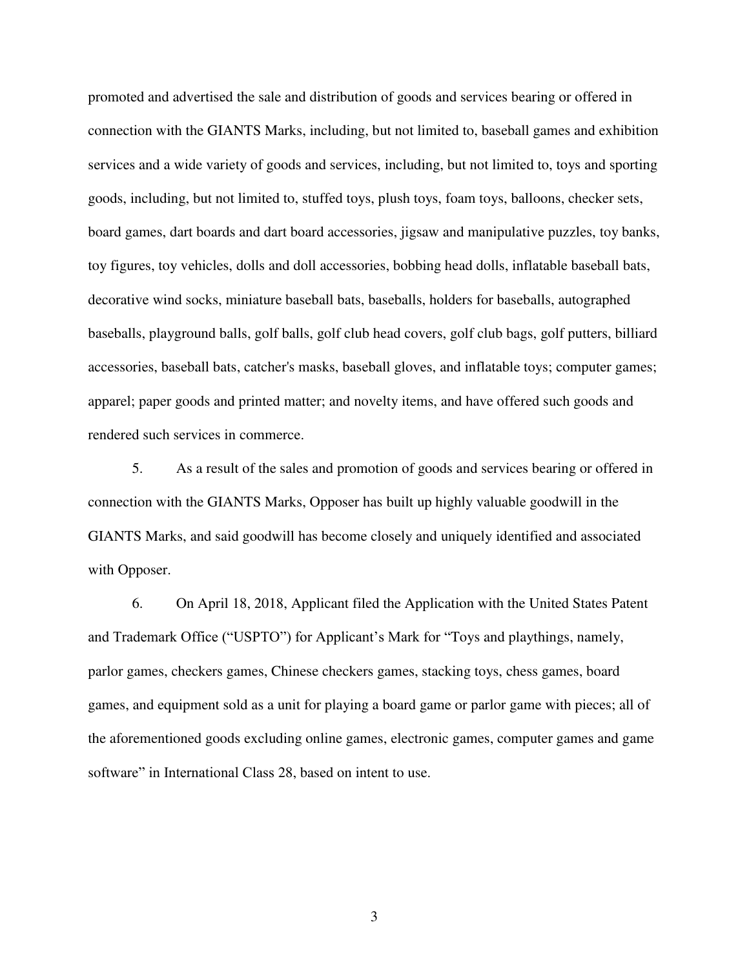promoted and advertised the sale and distribution of goods and services bearing or offered in connection with the GIANTS Marks, including, but not limited to, baseball games and exhibition services and a wide variety of goods and services, including, but not limited to, toys and sporting goods, including, but not limited to, stuffed toys, plush toys, foam toys, balloons, checker sets, board games, dart boards and dart board accessories, jigsaw and manipulative puzzles, toy banks, toy figures, toy vehicles, dolls and doll accessories, bobbing head dolls, inflatable baseball bats, decorative wind socks, miniature baseball bats, baseballs, holders for baseballs, autographed baseballs, playground balls, golf balls, golf club head covers, golf club bags, golf putters, billiard accessories, baseball bats, catcher's masks, baseball gloves, and inflatable toys; computer games; apparel; paper goods and printed matter; and novelty items, and have offered such goods and rendered such services in commerce.

5. As a result of the sales and promotion of goods and services bearing or offered in connection with the GIANTS Marks, Opposer has built up highly valuable goodwill in the GIANTS Marks, and said goodwill has become closely and uniquely identified and associated with Opposer.

6. On April 18, 2018, Applicant filed the Application with the United States Patent and Trademark Office ("USPTO") for Applicant's Mark for "Toys and playthings, namely, parlor games, checkers games, Chinese checkers games, stacking toys, chess games, board games, and equipment sold as a unit for playing a board game or parlor game with pieces; all of the aforementioned goods excluding online games, electronic games, computer games and game software" in International Class 28, based on intent to use.

3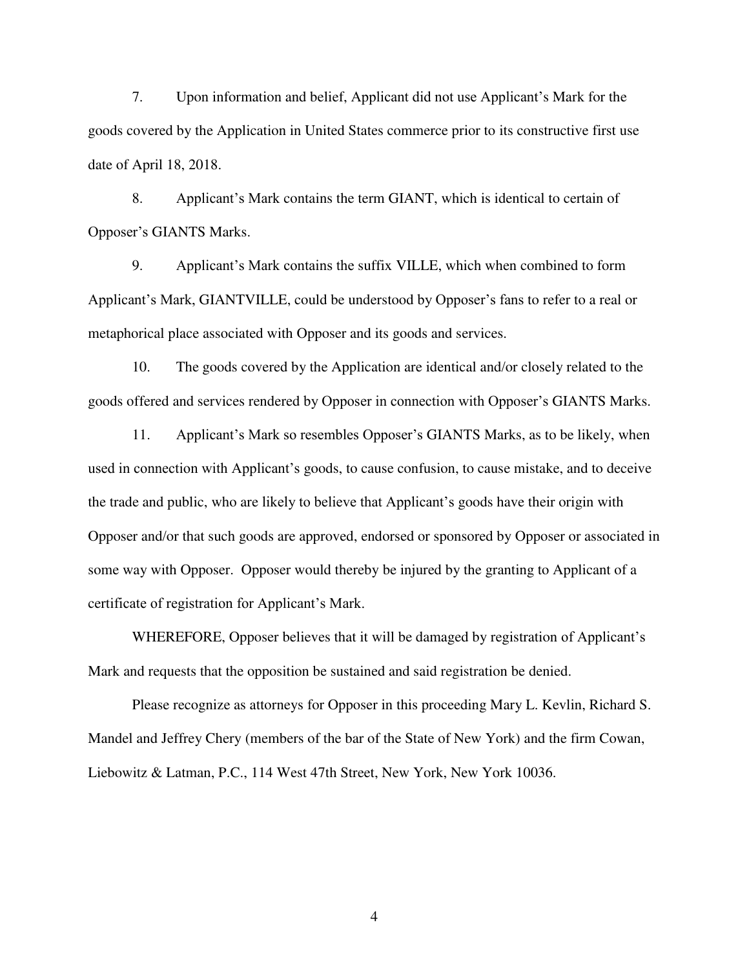7. Upon information and belief, Applicant did not use Applicant's Mark for the goods covered by the Application in United States commerce prior to its constructive first use date of April 18, 2018.

8. Applicant's Mark contains the term GIANT, which is identical to certain of Opposer's GIANTS Marks.

9. Applicant's Mark contains the suffix VILLE, which when combined to form Applicant's Mark, GIANTVILLE, could be understood by Opposer's fans to refer to a real or metaphorical place associated with Opposer and its goods and services.

10. The goods covered by the Application are identical and/or closely related to the goods offered and services rendered by Opposer in connection with Opposer's GIANTS Marks.

11. Applicant's Mark so resembles Opposer's GIANTS Marks, as to be likely, when used in connection with Applicant's goods, to cause confusion, to cause mistake, and to deceive the trade and public, who are likely to believe that Applicant's goods have their origin with Opposer and/or that such goods are approved, endorsed or sponsored by Opposer or associated in some way with Opposer. Opposer would thereby be injured by the granting to Applicant of a certificate of registration for Applicant's Mark.

WHEREFORE, Opposer believes that it will be damaged by registration of Applicant's Mark and requests that the opposition be sustained and said registration be denied.

Please recognize as attorneys for Opposer in this proceeding Mary L. Kevlin, Richard S. Mandel and Jeffrey Chery (members of the bar of the State of New York) and the firm Cowan, Liebowitz & Latman, P.C., 114 West 47th Street, New York, New York 10036.

4